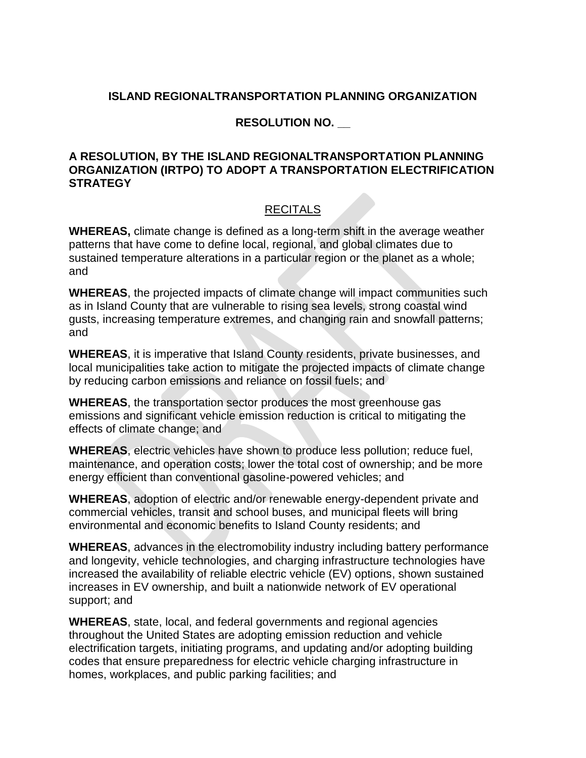## **ISLAND REGIONALTRANSPORTATION PLANNING ORGANIZATION**

## **RESOLUTION NO. \_\_**

## **A RESOLUTION, BY THE ISLAND REGIONALTRANSPORTATION PLANNING ORGANIZATION (IRTPO) TO ADOPT A TRANSPORTATION ELECTRIFICATION STRATEGY**

## RECITALS

**WHEREAS,** climate change is defined as a long-term shift in the average weather patterns that have come to define local, regional, and global climates due to sustained temperature alterations in a particular region or the planet as a whole; and

**WHEREAS**, the projected impacts of climate change will impact communities such as in Island County that are vulnerable to rising sea levels, strong coastal wind gusts, increasing temperature extremes, and changing rain and snowfall patterns; and

**WHEREAS**, it is imperative that Island County residents, private businesses, and local municipalities take action to mitigate the projected impacts of climate change by reducing carbon emissions and reliance on fossil fuels; and

**WHEREAS**, the transportation sector produces the most greenhouse gas emissions and significant vehicle emission reduction is critical to mitigating the effects of climate change; and

**WHEREAS**, electric vehicles have shown to produce less pollution; reduce fuel, maintenance, and operation costs; lower the total cost of ownership; and be more energy efficient than conventional gasoline-powered vehicles; and

**WHEREAS**, adoption of electric and/or renewable energy-dependent private and commercial vehicles, transit and school buses, and municipal fleets will bring environmental and economic benefits to Island County residents; and

**WHEREAS**, advances in the electromobility industry including battery performance and longevity, vehicle technologies, and charging infrastructure technologies have increased the availability of reliable electric vehicle (EV) options, shown sustained increases in EV ownership, and built a nationwide network of EV operational support; and

**WHEREAS**, state, local, and federal governments and regional agencies throughout the United States are adopting emission reduction and vehicle electrification targets, initiating programs, and updating and/or adopting building codes that ensure preparedness for electric vehicle charging infrastructure in homes, workplaces, and public parking facilities; and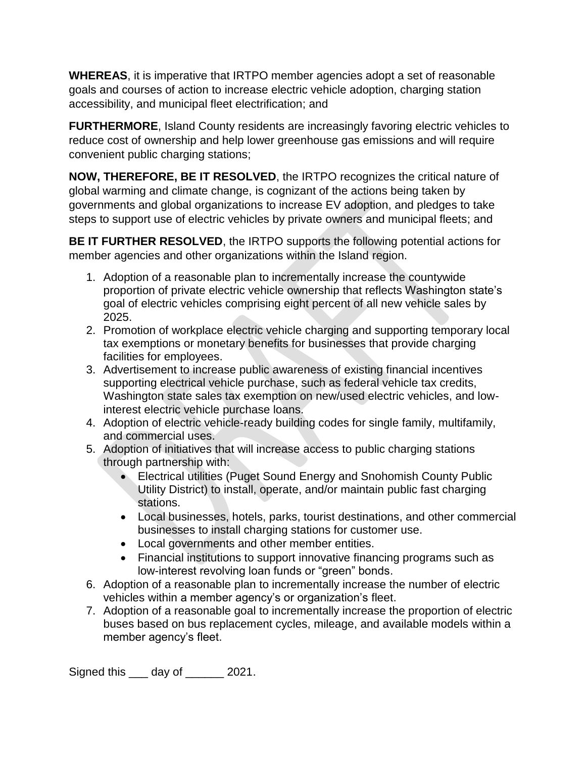**WHEREAS**, it is imperative that IRTPO member agencies adopt a set of reasonable goals and courses of action to increase electric vehicle adoption, charging station accessibility, and municipal fleet electrification; and

**FURTHERMORE**, Island County residents are increasingly favoring electric vehicles to reduce cost of ownership and help lower greenhouse gas emissions and will require convenient public charging stations;

**NOW, THEREFORE, BE IT RESOLVED**, the IRTPO recognizes the critical nature of global warming and climate change, is cognizant of the actions being taken by governments and global organizations to increase EV adoption, and pledges to take steps to support use of electric vehicles by private owners and municipal fleets; and

**BE IT FURTHER RESOLVED**, the IRTPO supports the following potential actions for member agencies and other organizations within the Island region.

- 1. Adoption of a reasonable plan to incrementally increase the countywide proportion of private electric vehicle ownership that reflects Washington state's goal of electric vehicles comprising eight percent of all new vehicle sales by 2025.
- 2. Promotion of workplace electric vehicle charging and supporting temporary local tax exemptions or monetary benefits for businesses that provide charging facilities for employees.
- 3. Advertisement to increase public awareness of existing financial incentives supporting electrical vehicle purchase, such as federal vehicle tax credits, Washington state sales tax exemption on new/used electric vehicles, and lowinterest electric vehicle purchase loans.
- 4. Adoption of electric vehicle-ready building codes for single family, multifamily, and commercial uses.
- 5. Adoption of initiatives that will increase access to public charging stations through partnership with:
	- Electrical utilities (Puget Sound Energy and Snohomish County Public Utility District) to install, operate, and/or maintain public fast charging stations.
	- Local businesses, hotels, parks, tourist destinations, and other commercial businesses to install charging stations for customer use.
	- Local governments and other member entities.
	- Financial institutions to support innovative financing programs such as low-interest revolving loan funds or "green" bonds.
- 6. Adoption of a reasonable plan to incrementally increase the number of electric vehicles within a member agency's or organization's fleet.
- 7. Adoption of a reasonable goal to incrementally increase the proportion of electric buses based on bus replacement cycles, mileage, and available models within a member agency's fleet.

Signed this \_\_\_ day of \_\_\_\_\_\_ 2021.